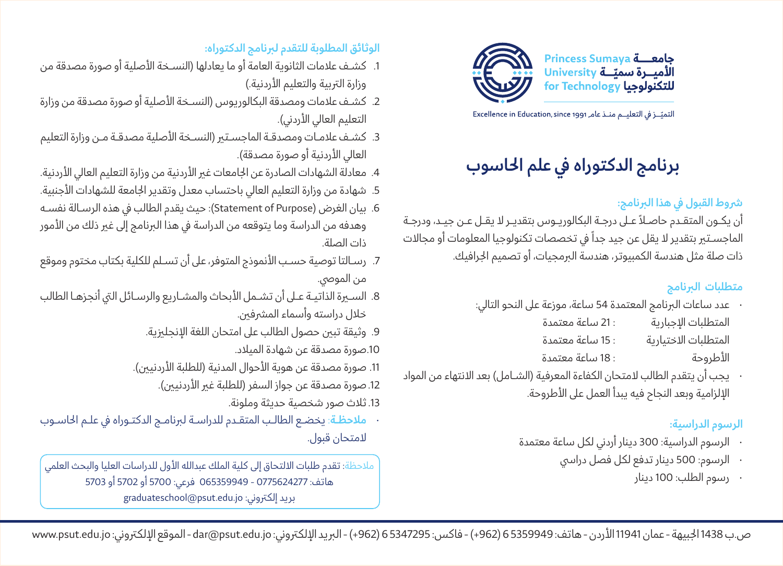

التميّــز في التعليــم منــذ عامـ Excellence in Education, since 1991

# **برنامج الدكتوراه يف علم احلاسوب**

# **رشوط القبول يف هذا الربنامج:**

أن يكــون المتقــدم حاصــاً عــى درجــة البكالوريــوس بتقديــر ال يقــل عــن جيــد، ودرجــة الماجسـتير بتقدير لا يقل عن جيد جداً في تخصصات تكنولوجيا المعلومات أو مجالات ذات صلة مثل هندسة الكمبيوتر، هندسة الربمجيات، أو تصميم اجلرافيك.

# **متطلبات الربنامج**

- عدد ساعات الربنامج المعتمدة 54 ساعة، موزعة عىل النحو التايل:
	- المتطلبات اإلجبارية : 21 ساعة معتمدة المتطلبات الاختيارية 15 ساعة معتمدة األطروحة : 18 ساعة معتمدة
- يجب أن يتقدم الطالب لامتحان الكفاءة المعرفية (الشـامل) بعد الانتهاء من المواد الإلزامية وبعد النجاح فيه يبدأ العمل على الأطروحة.

# **الرسوم الدراسية:**

- الرسوم الدراسية: 300 دينار أردين لكل ساعة معتمدة
	- الرسوم: 500 دينار تدفع لكل فصل درايس
		- رسوم الطلب: 100 دينار

## **الوثائق المطلوبة للتقدم لربنامج الدكتوراه:**

- .1 كشــف عالمات الثانوية العامة أو ما يعادلها )النســخة األصلية أو صورة مصدقة من وزارة التربية والتعليم الأردنية.)
- 2. كشـف علامات ومصدقة البكالوريوس (النسـخة الأصلية أو صورة مصدقة من وزارة التعليم العالي الأردني).
- 3. كشـف علامـات ومصدقـة الماجسـتير (النسـخة الأصلية مصدقـة مـن وزارة التعليم العالي الأردنية أو صورة مصدقة).
- 4. معادلة الشهادات الصادرة عن الجامعات غير الأردنية من وزارة التعليم العالي الأردنية.
- 5. شهادة من وزارة التعليم العالي باحتساب معدل وتقدير الجامعة للشهادات الأجنبية.
- 6. بيان الغرض (Statement of Purpose): حيث يقدم الطالب في هذه الرسـالة نفسـه وهدفه من الدراسة وما يتوقعه من الدراسة في هذا البرنامج إلى غير ذلك من الأمور ذات الصلة.
- .7 رســالتا توصية حســب األنموذج المتوفر، عىل أن تســلم للكلية بكتاب مختوم وموقع من الموصي.
- .8 الســرة الذاتيــة عــى أن تشــمل األبحاث والمشــاريع والرســائل اليت أنجزهــا الطالب خلال دراسته وأسماء المشرفين.
	- .9 وثيقة تبني حصول الطالب عىل امتحان اللغة اإلنجلزيية.
		- .10صورة مصدقة عن شهادة الميالد.
	- 11. صورة مصدقة عن هوية الأحوال المدنية (للطلبة الأردنيين).
		- 12.صورة مصدقة عن جواز السفر (للطلبة غير الأردنيين).
			- .13ثالث صور شخصية حديثة وملونة.
- **مالحظــة**: يخضــع الطالــب المتقــدم للدراســة لربنامــج الدكتــوراه يف علــم احلاســوب المتحان قبول.

مالحظة: تقدم طلبات االلتحاق إىل كلية الملك عبدالله األول للدراسات العليا والبحث العلمي هاتف: 0775624277 - 065359949 فرعي: 5700 أو 5702 أو 5703 بريد إلكتروني: graduateschool@psut.edu.jo

ص.ب 1438 الجبيهة - عمان 11941 الأردن - هاتف: 5359949 (962+) - فاكس: 5347295 (962+) - البريد الإلكتروني: dar@psut.edu.jo - الموقع الإلكتروني: www.psut.edu.jo